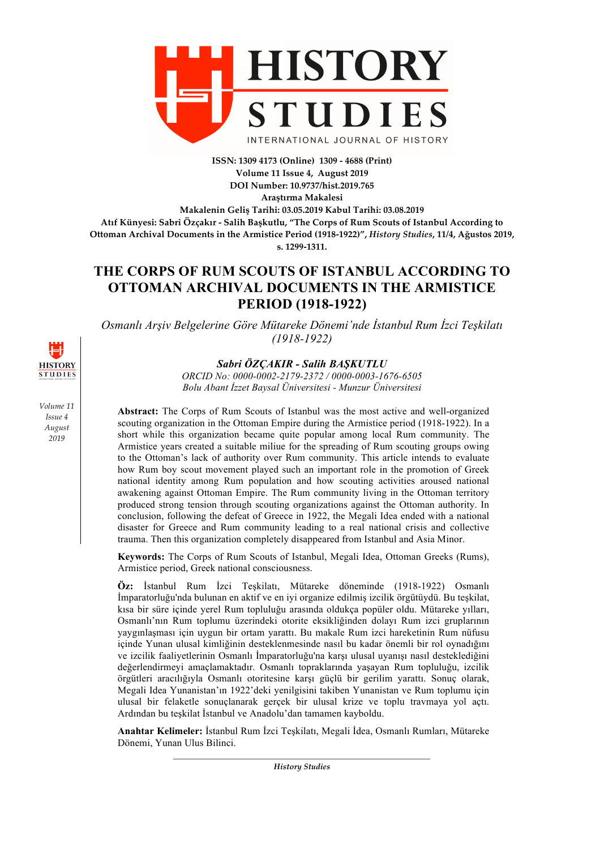

**ISSN: 1309 4173 (Online) 1309 - 4688 (Print) Volume 11 Issue 4, August 2019 DOI Number: 10.9737/hist.2019.765**

**Araştırma Makalesi**

**Makalenin Geliş Tarihi: 03.05.2019 Kabul Tarihi: 03.08.2019 Atıf Künyesi: Sabri Özçakır - Salih Başkutlu, "The Corps of Rum Scouts of Istanbul According to Ottoman Archival Documents in the Armistice Period (1918-1922)",** *History Studies***, 11/4, Ağustos 2019, s. 1299-1311.**

# **THE CORPS OF RUM SCOUTS OF ISTANBUL ACCORDING TO OTTOMAN ARCHIVAL DOCUMENTS IN THE ARMISTICE PERIOD (1918-1922)**

*Osmanlı Arşiv Belgelerine Göre Mütareke Dönemi'nde İstanbul Rum İzci Teşkilatı (1918-1922)*

*Sabri ÖZÇAKIR - Salih BAŞKUTLU*

*ORCID No: 0000-0002-2179-2372 / 0000-0003-1676-6505 Bolu Abant İzzet Baysal Üniversitesi - Munzur Üniversitesi*

**Abstract:** The Corps of Rum Scouts of Istanbul was the most active and well-organized scouting organization in the Ottoman Empire during the Armistice period (1918-1922). In a short while this organization became quite popular among local Rum community. The Armistice years created a suitable miliue for the spreading of Rum scouting groups owing to the Ottoman's lack of authority over Rum community. This article intends to evaluate how Rum boy scout movement played such an important role in the promotion of Greek national identity among Rum population and how scouting activities aroused national awakening against Ottoman Empire. The Rum community living in the Ottoman territory produced strong tension through scouting organizations against the Ottoman authority. In conclusion, following the defeat of Greece in 1922, the Megali Idea ended with a national disaster for Greece and Rum community leading to a real national crisis and collective trauma. Then this organization completely disappeared from Istanbul and Asia Minor.

**Keywords:** The Corps of Rum Scouts of Istanbul, Megali Idea, Ottoman Greeks (Rums), Armistice period, Greek national consciousness.

**Öz:** İstanbul Rum İzci Teşkilatı, Mütareke döneminde (1918-1922) Osmanlı İmparatorluğu'nda bulunan en aktif ve en iyi organize edilmiş izcilik örgütüydü. Bu teşkilat, kısa bir süre içinde yerel Rum topluluğu arasında oldukça popüler oldu. Mütareke yılları, Osmanlı'nın Rum toplumu üzerindeki otorite eksikliğinden dolayı Rum izci gruplarının yaygınlaşması için uygun bir ortam yarattı. Bu makale Rum izci hareketinin Rum nüfusu içinde Yunan ulusal kimliğinin desteklenmesinde nasıl bu kadar önemli bir rol oynadığını ve izcilik faaliyetlerinin Osmanlı İmparatorluğu'na karşı ulusal uyanışı nasıl desteklediğini değerlendirmeyi amaçlamaktadır. Osmanlı topraklarında yaşayan Rum topluluğu, izcilik örgütleri aracılığıyla Osmanlı otoritesine karşı güçlü bir gerilim yarattı. Sonuç olarak, Megali Idea Yunanistan'ın 1922'deki yenilgisini takiben Yunanistan ve Rum toplumu için ulusal bir felaketle sonuçlanarak gerçek bir ulusal krize ve toplu travmaya yol açtı. Ardından bu teşkilat İstanbul ve Anadolu'dan tamamen kayboldu.

**Anahtar Kelimeler:** İstanbul Rum İzci Teşkilatı, Megali İdea, Osmanlı Rumları, Mütareke Dönemi, Yunan Ulus Bilinci.



*Volume 11 Issue 4 August 2019*

*History Studies*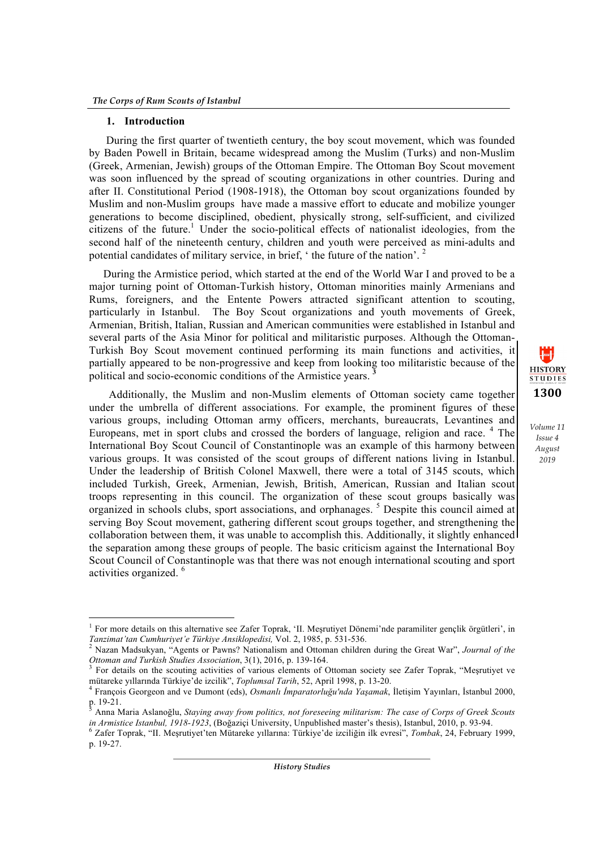<u> 1989 - Johann Barn, mars ann an t-Amhain an t-Amhain an t-Amhain an t-Amhain an t-Amhain an t-Amhain an t-Amh</u>

#### **1. Introduction**

During the first quarter of twentieth century, the boy scout movement, which was founded by Baden Powell in Britain, became widespread among the Muslim (Turks) and non-Muslim (Greek, Armenian, Jewish) groups of the Ottoman Empire. The Ottoman Boy Scout movement was soon influenced by the spread of scouting organizations in other countries. During and after II. Constitutional Period (1908-1918), the Ottoman boy scout organizations founded by Muslim and non-Muslim groups have made a massive effort to educate and mobilize younger generations to become disciplined, obedient, physically strong, self-sufficient, and civilized citizens of the future.<sup>1</sup> Under the socio-political effects of nationalist ideologies, from the second half of the nineteenth century, children and youth were perceived as mini-adults and potential candidates of military service, in brief, ' the future of the nation'. 2

During the Armistice period, which started at the end of the World War I and proved to be a major turning point of Ottoman-Turkish history, Ottoman minorities mainly Armenians and Rums, foreigners, and the Entente Powers attracted significant attention to scouting, particularly in Istanbul. The Boy Scout organizations and youth movements of Greek, Armenian, British, Italian, Russian and American communities were established in Istanbul and several parts of the Asia Minor for political and militaristic purposes. Although the Ottoman-Turkish Boy Scout movement continued performing its main functions and activities, it partially appeared to be non-progressive and keep from looking too militaristic because of the political and socio-economic conditions of the Armistice years. **<sup>3</sup>**

 Additionally, the Muslim and non-Muslim elements of Ottoman society came together under the umbrella of different associations. For example, the prominent figures of these various groups, including Ottoman army officers, merchants, bureaucrats, Levantines and Europeans, met in sport clubs and crossed the borders of language, religion and race. <sup>4</sup> The International Boy Scout Council of Constantinople was an example of this harmony between various groups. It was consisted of the scout groups of different nations living in Istanbul. Under the leadership of British Colonel Maxwell, there were a total of 3145 scouts, which included Turkish, Greek, Armenian, Jewish, British, American, Russian and Italian scout troops representing in this council. The organization of these scout groups basically was organized in schools clubs, sport associations, and orphanages. <sup>5</sup> Despite this council aimed at serving Boy Scout movement, gathering different scout groups together, and strengthening the collaboration between them, it was unable to accomplish this. Additionally, it slightly enhanced the separation among these groups of people. The basic criticism against the International Boy Scout Council of Constantinople was that there was not enough international scouting and sport activities organized. <sup>6</sup>



<sup>1</sup> For more details on this alternative see Zafer Toprak, 'II. Meşrutiyet Dönemi'nde paramiliter gençlik örgütleri', in *Tanzimat'tan Cumhuriyet'e Türkiye Ansiklopedisi,* Vol. 2, 1985, p. 531-536. <sup>2</sup> Nazan Madsukyan, "Agents or Pawns? Nationalism and Ottoman children during the Great War", *Journal of the* 

*Ottoman and Turkish Studies Association*, 3(1), 2016, p. 139-164.<br><sup>3</sup> For details on the scouting activities of various elements of Ottoman society see Zafer Toprak, "Mesrutivet ve

mütareke yıllarında Türkiye'de izcilik", Toplumsal Tarih, 52, April 1998, p. 13-20.<br><sup>4</sup> François Georgeon and ve Dumont (eds), *Osmanlı İmparatorluğu'nda Yaşamak*, İletişim Yayınları, İstanbul 2000, p. 19-21.

<sup>&</sup>lt;sup>5</sup> Anna Maria Aslanoğlu, *Staying away from politics, not foreseeing militarism: The case of Corps of Greek Scouts in Armistice Istanbul, 1918-1923, (Boğaziçi University, Unpublished master's thesis), Istanbul, 2010, p. 9* 

<sup>&</sup>lt;sup>6</sup> Zafer Toprak, "II. Meșrutiyet'ten Mütareke yıllarına: Türkiye'de izciliğin ilk evresi", Tombak, 24, February 1999, p. 19-27.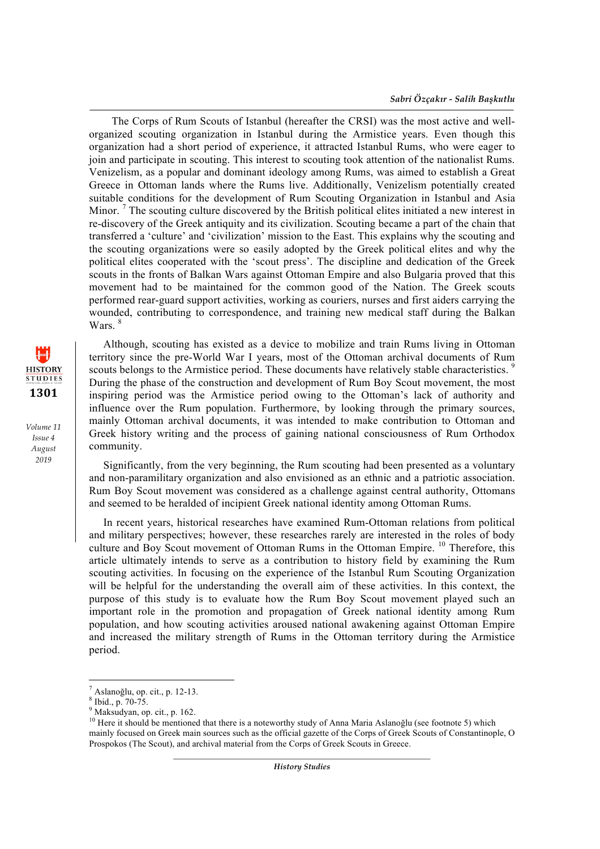The Corps of Rum Scouts of Istanbul (hereafter the CRSI) was the most active and wellorganized scouting organization in Istanbul during the Armistice years. Even though this organization had a short period of experience, it attracted Istanbul Rums, who were eager to join and participate in scouting. This interest to scouting took attention of the nationalist Rums. Venizelism, as a popular and dominant ideology among Rums, was aimed to establish a Great Greece in Ottoman lands where the Rums live. Additionally, Venizelism potentially created suitable conditions for the development of Rum Scouting Organization in Istanbul and Asia Minor.<sup>7</sup> The scouting culture discovered by the British political elites initiated a new interest in re-discovery of the Greek antiquity and its civilization. Scouting became a part of the chain that transferred a 'culture' and 'civilization' mission to the East. This explains why the scouting and the scouting organizations were so easily adopted by the Greek political elites and why the political elites cooperated with the 'scout press'. The discipline and dedication of the Greek scouts in the fronts of Balkan Wars against Ottoman Empire and also Bulgaria proved that this movement had to be maintained for the common good of the Nation. The Greek scouts performed rear-guard support activities, working as couriers, nurses and first aiders carrying the wounded, contributing to correspondence, and training new medical staff during the Balkan Wars<sup>8</sup>

Although, scouting has existed as a device to mobilize and train Rums living in Ottoman territory since the pre-World War I years, most of the Ottoman archival documents of Rum scouts belongs to the Armistice period. These documents have relatively stable characteristics.<sup>9</sup> During the phase of the construction and development of Rum Boy Scout movement, the most inspiring period was the Armistice period owing to the Ottoman's lack of authority and influence over the Rum population. Furthermore, by looking through the primary sources, mainly Ottoman archival documents, it was intended to make contribution to Ottoman and Greek history writing and the process of gaining national consciousness of Rum Orthodox community.

Significantly, from the very beginning, the Rum scouting had been presented as a voluntary and non-paramilitary organization and also envisioned as an ethnic and a patriotic association. Rum Boy Scout movement was considered as a challenge against central authority, Ottomans and seemed to be heralded of incipient Greek national identity among Ottoman Rums.

In recent years, historical researches have examined Rum-Ottoman relations from political and military perspectives; however, these researches rarely are interested in the roles of body culture and Boy Scout movement of Ottoman Rums in the Ottoman Empire. <sup>10</sup> Therefore, this article ultimately intends to serve as a contribution to history field by examining the Rum scouting activities. In focusing on the experience of the Istanbul Rum Scouting Organization will be helpful for the understanding the overall aim of these activities. In this context, the purpose of this study is to evaluate how the Rum Boy Scout movement played such an important role in the promotion and propagation of Greek national identity among Rum population, and how scouting activities aroused national awakening against Ottoman Empire and increased the military strength of Rums in the Ottoman territory during the Armistice period.

<u> 1989 - Johann Barn, mars ann an t-Amhain an t-Amhain an t-Amhain an t-Amhain an t-Amhain an t-Amhain an t-Amh</u>



 $^7$  Aslanoğlu, op. cit., p. 12-13.<br>  $^8$  Ibid., p. 70-75.<br>
9 Maksudyan, op. cit., p. 162.

<sup>&</sup>lt;sup>10</sup> Here it should be mentioned that there is a noteworthy study of Anna Maria Aslanoğlu (see footnote 5) which mainly focused on Greek main sources such as the official gazette of the Corps of Greek Scouts of Constantinople, O Prospokos (The Scout), and archival material from the Corps of Greek Scouts in Greece.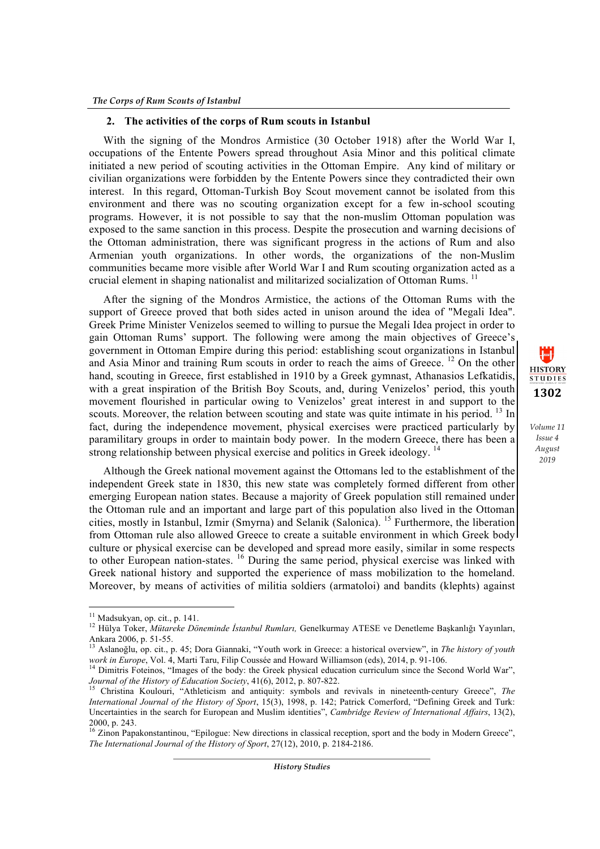## **2. The activities of the corps of Rum scouts in Istanbul**

With the signing of the Mondros Armistice (30 October 1918) after the World War I, occupations of the Entente Powers spread throughout Asia Minor and this political climate initiated a new period of scouting activities in the Ottoman Empire. Any kind of military or civilian organizations were forbidden by the Entente Powers since they contradicted their own interest. In this regard, Ottoman-Turkish Boy Scout movement cannot be isolated from this environment and there was no scouting organization except for a few in-school scouting programs. However, it is not possible to say that the non-muslim Ottoman population was exposed to the same sanction in this process. Despite the prosecution and warning decisions of the Ottoman administration, there was significant progress in the actions of Rum and also Armenian youth organizations. In other words, the organizations of the non-Muslim communities became more visible after World War I and Rum scouting organization acted as a crucial element in shaping nationalist and militarized socialization of Ottoman Rums.<sup>11</sup>

After the signing of the Mondros Armistice, the actions of the Ottoman Rums with the support of Greece proved that both sides acted in unison around the idea of "Megali Idea". Greek Prime Minister Venizelos seemed to willing to pursue the Megali Idea project in order to gain Ottoman Rums' support. The following were among the main objectives of Greece's government in Ottoman Empire during this period: establishing scout organizations in Istanbul and Asia Minor and training Rum scouts in order to reach the aims of Greece.<sup>12</sup> On the other hand, scouting in Greece, first established in 1910 by a Greek gymnast, Athanasios Lefkatidis, with a great inspiration of the British Boy Scouts, and, during Venizelos' period, this youth movement flourished in particular owing to Venizelos' great interest in and support to the scouts. Moreover, the relation between scouting and state was quite intimate in his period. <sup>13</sup> In fact, during the independence movement, physical exercises were practiced particularly by paramilitary groups in order to maintain body power. In the modern Greece, there has been a strong relationship between physical exercise and politics in Greek ideology. 14

Although the Greek national movement against the Ottomans led to the establishment of the independent Greek state in 1830, this new state was completely formed different from other emerging European nation states. Because a majority of Greek population still remained under the Ottoman rule and an important and large part of this population also lived in the Ottoman cities, mostly in Istanbul, Izmir (Smyrna) and Selanik (Salonica). <sup>15</sup> Furthermore, the liberation from Ottoman rule also allowed Greece to create a suitable environment in which Greek body culture or physical exercise can be developed and spread more easily, similar in some respects to other European nation-states. <sup>16</sup> During the same period, physical exercise was linked with Greek national history and supported the experience of mass mobilization to the homeland. Moreover, by means of activities of militia soldiers (armatoloi) and bandits (klephts) against

<sup>&</sup>lt;sup>11</sup> Madsukyan, op. cit., p. 141.

<sup>&</sup>lt;sup>12</sup> Hülva Toker, *Mütareke Döneminde İstanbul Rumları*, Genelkurmay ATESE ve Denetleme Başkanlığı Yayınları, Ankara 2006, p. 51-55. <sup>13</sup> Aslanoğlu, op. cit., p. 45; Dora Giannaki, "Youth work in Greece: a historical overview", in *The history of youth* 

*work in Europe*, Vol. 4, Marti Taru, Filip Coussée and Howard Williamson (eds), 2014, p. 91-106.<br><sup>14</sup> Dimitris Foteinos, "Images of the body: the Greek physical education curriculum since the Second World War",<br>*Journal o* 

Christina Koulouri, "Athleticism and antiquity: symbols and revivals in nineteenth-century Greece", *The International Journal of the History of Sport*, 15(3), 1998, p. 142; Patrick Comerford, "Defining Greek and Turk: Uncertainties in the search for European and Muslim identities", *Cambridge Review of International Affairs*, 13(2),

<sup>2000,</sup> p. 243. <sup>16</sup> Zinon Papakonstantinou, "Epilogue: New directions in classical reception, sport and the body in Modern Greece", *The International Journal of the History of Sport*, 27(12), 2010, p. 2184-2186.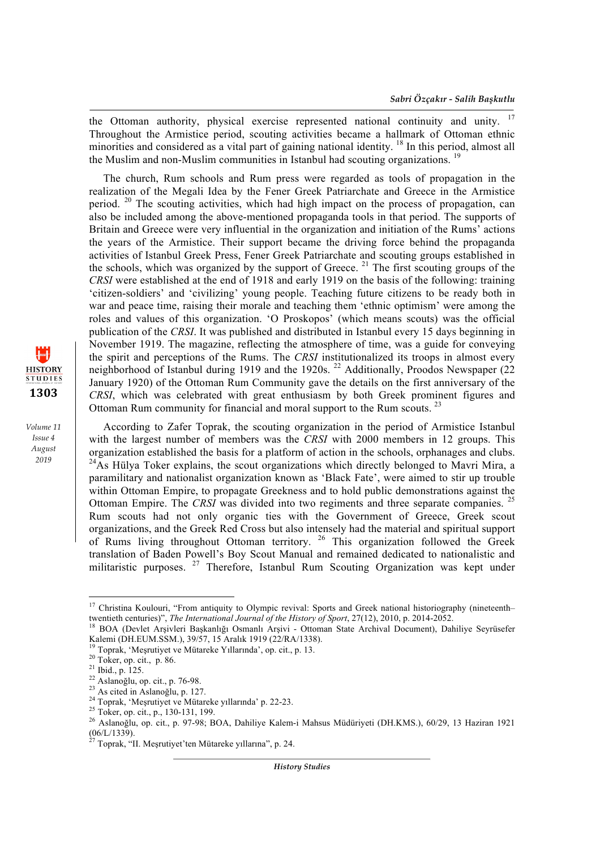the Ottoman authority, physical exercise represented national continuity and unity. <sup>17</sup> Throughout the Armistice period, scouting activities became a hallmark of Ottoman ethnic minorities and considered as a vital part of gaining national identity. <sup>18</sup> In this period, almost all the Muslim and non-Muslim communities in Istanbul had scouting organizations.<sup>19</sup>

The church, Rum schools and Rum press were regarded as tools of propagation in the realization of the Megali Idea by the Fener Greek Patriarchate and Greece in the Armistice period.  $20$  The scouting activities, which had high impact on the process of propagation, can also be included among the above-mentioned propaganda tools in that period. The supports of Britain and Greece were very influential in the organization and initiation of the Rums' actions the years of the Armistice. Their support became the driving force behind the propaganda activities of Istanbul Greek Press, Fener Greek Patriarchate and scouting groups established in the schools, which was organized by the support of Greece.<sup>21</sup> The first scouting groups of the *CRSI* were established at the end of 1918 and early 1919 on the basis of the following: training 'citizen-soldiers' and 'civilizing' young people. Teaching future citizens to be ready both in war and peace time, raising their morale and teaching them 'ethnic optimism' were among the roles and values of this organization. 'O Proskopos' (which means scouts) was the official publication of the *CRSI*. It was published and distributed in Istanbul every 15 days beginning in November 1919. The magazine, reflecting the atmosphere of time, was a guide for conveying the spirit and perceptions of the Rums. The *CRSI* institutionalized its troops in almost every neighborhood of Istanbul during 1919 and the 1920s.<sup>22</sup> Additionally, Proodos Newspaper (22) January 1920) of the Ottoman Rum Community gave the details on the first anniversary of the *CRSI*, which was celebrated with great enthusiasm by both Greek prominent figures and Ottoman Rum community for financial and moral support to the Rum scouts.<sup>23</sup>

According to Zafer Toprak, the scouting organization in the period of Armistice Istanbul with the largest number of members was the *CRSI* with 2000 members in 12 groups. This organization established the basis for a platform of action in the schools, orphanages and clubs.  $^{24}$ As Hülya Toker explains, the scout organizations which directly belonged to Mavri Mira, a paramilitary and nationalist organization known as 'Black Fate', were aimed to stir up trouble within Ottoman Empire, to propagate Greekness and to hold public demonstrations against the Ottoman Empire. The *CRSI* was divided into two regiments and three separate companies. <sup>25</sup> Rum scouts had not only organic ties with the Government of Greece, Greek scout organizations, and the Greek Red Cross but also intensely had the material and spiritual support of Rums living throughout Ottoman territory. <sup>26</sup> This organization followed the Greek translation of Baden Powell's Boy Scout Manual and remained dedicated to nationalistic and militaristic purposes. <sup>27</sup> Therefore, Istanbul Rum Scouting Organization was kept under

<u> 1989 - Johann Barn, mars ann an t-Amhain an t-Amhain an t-Amhain an t-Amhain an t-Amhain an t-Amhain an t-Amh</u>

*History Studies*



<sup>&</sup>lt;sup>17</sup> Christina Koulouri, "From antiquity to Olympic revival: Sports and Greek national historiography (nineteenth– twentieth centuries)", *The International Journal of the History of Sport*, 27(12), 2010, p. 2014-2052.<br><sup>18</sup> BOA (Devlet Arsivleri Baskanlığı Osmanlı Arsivi - Ottoman State Archival Document), Dahiliye Seyrüsefer

Kalemi (DH.EUM.SSM.), 39/57, 15 Aralık 1919 (22/RA/1338).<br><sup>19</sup> Toprak, 'Meşrutiyet ve Mütareke Yıllarında', op. cit., p. 13.

<sup>&</sup>lt;sup>20</sup> Toker, op. cit., p. 86.<br>
<sup>21</sup> Ibid., p. 125.<br>
<sup>22</sup> Aslanoğlu, op. cit., p. 76-98.<br>
<sup>23</sup> As cited in Aslanoğlu, p. 127.<br>
<sup>24</sup> Toprak, 'Meşrutiyet ve Mütareke yıllarında' p. 22-23.<br>
<sup>25</sup> Toker, op. cit., p., 130-131, 1  $(06/L/1339)$ .

<sup>27</sup> Toprak, "II. Meşrutiyet'ten Mütareke yıllarına", p. 24.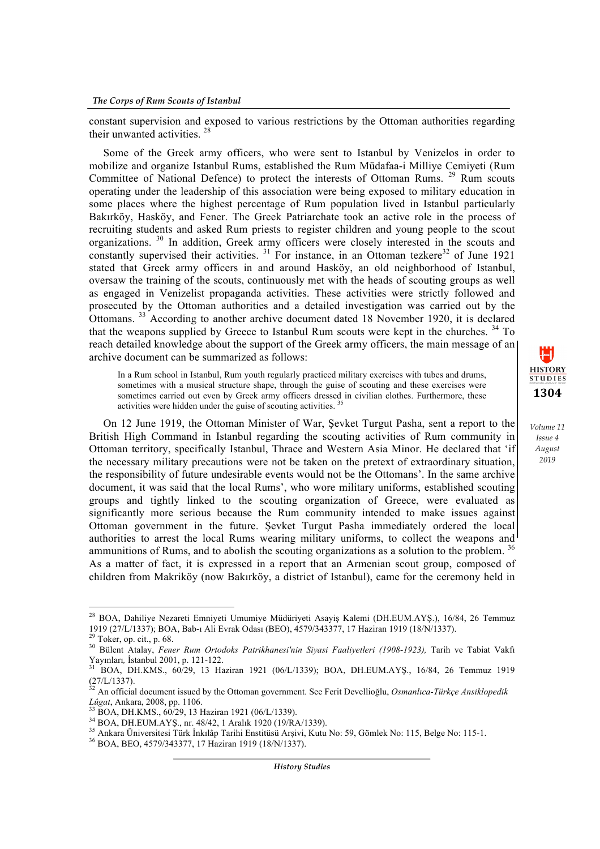constant supervision and exposed to various restrictions by the Ottoman authorities regarding their unwanted activities. 28

Some of the Greek army officers, who were sent to Istanbul by Venizelos in order to mobilize and organize Istanbul Rums, established the Rum Müdafaa-i Milliye Cemiyeti (Rum Committee of National Defence) to protect the interests of Ottoman Rums. <sup>29</sup> Rum scouts operating under the leadership of this association were being exposed to military education in some places where the highest percentage of Rum population lived in Istanbul particularly Bakırköy, Hasköy, and Fener. The Greek Patriarchate took an active role in the process of recruiting students and asked Rum priests to register children and young people to the scout organizations. <sup>30</sup> In addition, Greek army officers were closely interested in the scouts and constantly supervised their activities.<sup>31</sup> For instance, in an Ottoman tezkere<sup>32</sup> of June 1921 stated that Greek army officers in and around Hasköy, an old neighborhood of Istanbul, oversaw the training of the scouts, continuously met with the heads of scouting groups as well as engaged in Venizelist propaganda activities. These activities were strictly followed and prosecuted by the Ottoman authorities and a detailed investigation was carried out by the Ottomans. <sup>33</sup> According to another archive document dated 18 November 1920, it is declared that the weapons supplied by Greece to Istanbul Rum scouts were kept in the churches. <sup>34</sup> To reach detailed knowledge about the support of the Greek army officers, the main message of an archive document can be summarized as follows:

In a Rum school in Istanbul, Rum youth regularly practiced military exercises with tubes and drums, sometimes with a musical structure shape, through the guise of scouting and these exercises were sometimes carried out even by Greek army officers dressed in civilian clothes. Furthermore, these activities were hidden under the guise of scouting activities. 35

**1304**

 $\mathbf{H}$ **HISTORY STUDIES** 

*Volume 11 Issue 4 August 2019*

On 12 June 1919, the Ottoman Minister of War, Şevket Turgut Pasha, sent a report to the British High Command in Istanbul regarding the scouting activities of Rum community in Ottoman territory, specifically Istanbul, Thrace and Western Asia Minor. He declared that 'if the necessary military precautions were not be taken on the pretext of extraordinary situation, the responsibility of future undesirable events would not be the Ottomans'. In the same archive document, it was said that the local Rums', who wore military uniforms, established scouting groups and tightly linked to the scouting organization of Greece, were evaluated as significantly more serious because the Rum community intended to make issues against Ottoman government in the future. Şevket Turgut Pasha immediately ordered the local authorities to arrest the local Rums wearing military uniforms, to collect the weapons and ammunitions of Rums, and to abolish the scouting organizations as a solution to the problem.<sup>36</sup> As a matter of fact, it is expressed in a report that an Armenian scout group, composed of children from Makriköy (now Bakırköy, a district of Istanbul), came for the ceremony held in

<u> 1989 - Johann Barn, mars ann an t-Amhain an t-Amhain an t-Amhain an t-Amhain an t-Amhain an t-Amhain an t-Amh</u>

<sup>&</sup>lt;sup>28</sup> BOA, Dahiliye Nezareti Emniyeti Umumiye Müdüriyeti Asayiş Kalemi (DH.EUM.AYŞ.), 16/84, 26 Temmuz 1919 (27/L/1337); BOA, Bab-ı Ali Evrak Odası (BEO), 4579/343377, 17 Haziran 1919 (18/N/1337).

<sup>&</sup>lt;sup>29</sup> Toker, op. cit., p. 68.<br><sup>30</sup> Bülent Atalay, *Fener Rum Ortodoks Patrikhanesi'nin Siyasi Faaliyetleri (1908-1923)*, Tarih ve Tabiat Vakfi Yayınları*,* İstanbul 2001, p. 121-122. <sup>31</sup> BOA, DH.KMS., 60/29, 13 Haziran 1921 (06/L/1339); BOA, DH.EUM.AYŞ., 16/84, 26 Temmuz 1919

 $(27/L/1337)$ .

<sup>32</sup> An official document issued by the Ottoman government. See Ferit Devellioğlu, *Osmanlıca-Türkçe Ansiklopedik* 

<sup>&</sup>lt;sup>33</sup> BOA, DH.KMS., 60/29, 13 Haziran 1921 (06/L/1339).<br><sup>34</sup> BOA, DH.EUM.AYŞ., nr. 48/42, 1 Aralık 1920 (19/RA/1339).<br><sup>35</sup> Ankara Üniversitesi Türk İnkılâp Tarihi Enstitüsü Arşivi, Kutu No: 59, Gömlek No: 115, Belge No: 11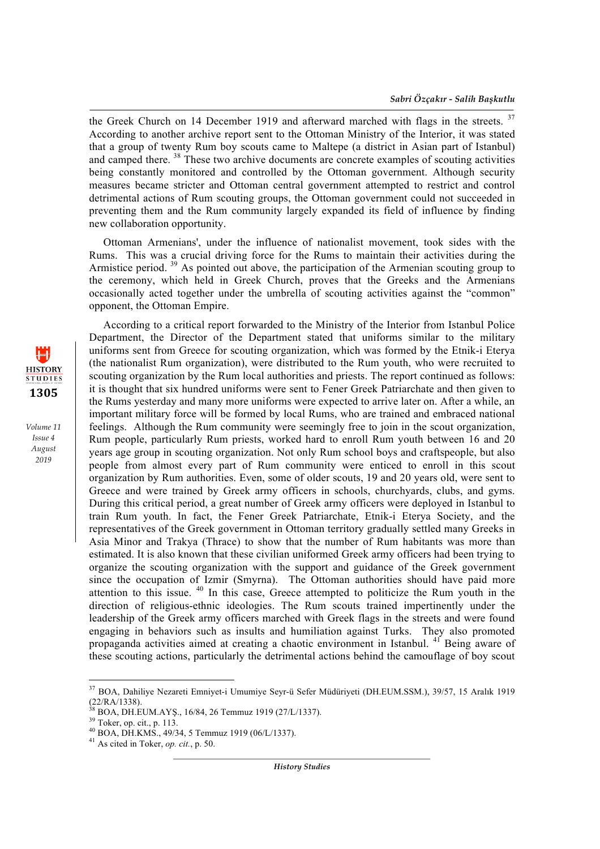the Greek Church on 14 December 1919 and afterward marched with flags in the streets. <sup>37</sup> According to another archive report sent to the Ottoman Ministry of the Interior, it was stated that a group of twenty Rum boy scouts came to Maltepe (a district in Asian part of Istanbul) and camped there. <sup>38</sup> These two archive documents are concrete examples of scouting activities being constantly monitored and controlled by the Ottoman government. Although security measures became stricter and Ottoman central government attempted to restrict and control detrimental actions of Rum scouting groups, the Ottoman government could not succeeded in preventing them and the Rum community largely expanded its field of influence by finding new collaboration opportunity.

Ottoman Armenians', under the influence of nationalist movement, took sides with the Rums. This was a crucial driving force for the Rums to maintain their activities during the Armistice period.<sup>39</sup> As pointed out above, the participation of the Armenian scouting group to the ceremony, which held in Greek Church, proves that the Greeks and the Armenians occasionally acted together under the umbrella of scouting activities against the "common" opponent, the Ottoman Empire.

**HISTORY STUDIES 1305**

*Volume 11 Issue 4 August 2019*

According to a critical report forwarded to the Ministry of the Interior from Istanbul Police Department, the Director of the Department stated that uniforms similar to the military uniforms sent from Greece for scouting organization, which was formed by the Etnik-i Eterya (the nationalist Rum organization), were distributed to the Rum youth, who were recruited to scouting organization by the Rum local authorities and priests. The report continued as follows: it is thought that six hundred uniforms were sent to Fener Greek Patriarchate and then given to the Rums yesterday and many more uniforms were expected to arrive later on. After a while, an important military force will be formed by local Rums, who are trained and embraced national feelings. Although the Rum community were seemingly free to join in the scout organization, Rum people, particularly Rum priests, worked hard to enroll Rum youth between 16 and 20 years age group in scouting organization. Not only Rum school boys and craftspeople, but also people from almost every part of Rum community were enticed to enroll in this scout organization by Rum authorities. Even, some of older scouts, 19 and 20 years old, were sent to Greece and were trained by Greek army officers in schools, churchyards, clubs, and gyms. During this critical period, a great number of Greek army officers were deployed in Istanbul to train Rum youth. In fact, the Fener Greek Patriarchate, Etnik-i Eterya Society, and the representatives of the Greek government in Ottoman territory gradually settled many Greeks in Asia Minor and Trakya (Thrace) to show that the number of Rum habitants was more than estimated. It is also known that these civilian uniformed Greek army officers had been trying to organize the scouting organization with the support and guidance of the Greek government since the occupation of Izmir (Smyrna). The Ottoman authorities should have paid more attention to this issue. <sup>40</sup> In this case, Greece attempted to politicize the Rum youth in the direction of religious-ethnic ideologies. The Rum scouts trained impertinently under the leadership of the Greek army officers marched with Greek flags in the streets and were found engaging in behaviors such as insults and humiliation against Turks. They also promoted propaganda activities aimed at creating a chaotic environment in Istanbul. <sup>41</sup> Being aware of these scouting actions, particularly the detrimental actions behind the camouflage of boy scout

<u> 1989 - Johann Barn, mars ann an t-Amhain an t-Amhain an t-Amhain an t-Amhain an t-Amhain an t-Amhain an t-Amh</u>

<sup>37</sup> BOA, Dahiliye Nezareti Emniyet-i Umumiye Seyr-ü Sefer Müdüriyeti (DH.EUM.SSM.), 39/57, 15 Aralık 1919 (22/RA/1338).<br><sup>38</sup> BOA, DH.EUM.AYS., 16/84, 26 Temmuz 1919 (27/L/1337).

<sup>&</sup>lt;sup>39</sup> Toker, op. cit., p. 113.<br><sup>40</sup> BOA, DH.KMS., 49/34, 5 Temmuz 1919 (06/L/1337).<br><sup>41</sup> As cited in Toker, *op. cit.*, p. 50.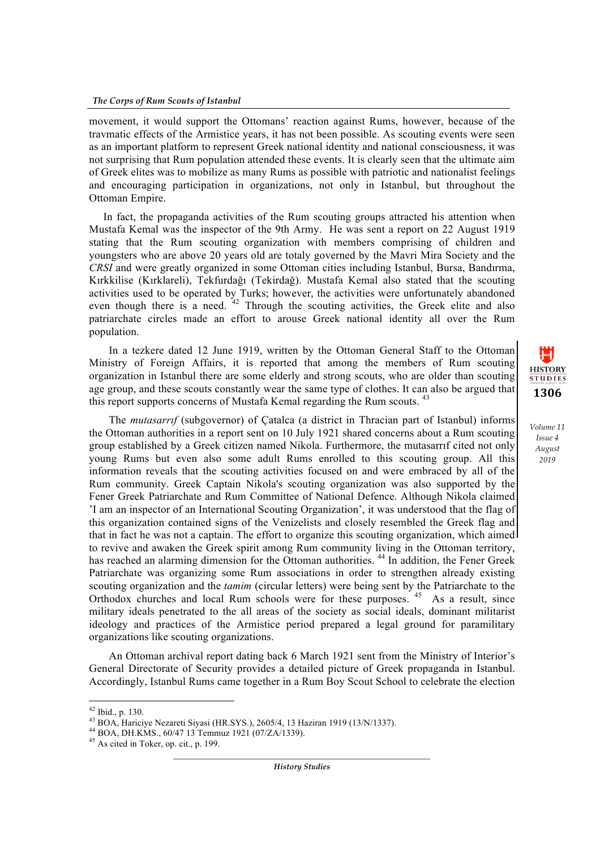movement, it would support the Ottomans' reaction against Rums, however, because of the travmatic effects of the Armistice years, it has not been possible. As scouting events were seen as an important platform to represent Greek national identity and national consciousness, it was not surprising that Rum population attended these events. It is clearly seen that the ultimate aim of Greek elites was to mobilize as many Rums as possible with patriotic and nationalist feelings and encouraging participation in organizations, not only in Istanbul, but throughout the Ottoman Empire.

In fact, the propaganda activities of the Rum scouting groups attracted his attention when Mustafa Kemal was the inspector of the 9th Army. He was sent a report on 22 August 1919 stating that the Rum scouting organization with members comprising of children and youngsters who are above 20 years old are totaly governed by the Mavri Mira Society and the *CRSI* and were greatly organized in some Ottoman cities including Istanbul, Bursa, Bandırma, Kırkkilise (Kırklareli), Tekfurdağı (Tekirdağ). Mustafa Kemal also stated that the scouting activities used to be operated by Turks; however, the activities were unfortunately abandoned even though there is a need.  $42$  Through the scouting activities, the Greek elite and also patriarchate circles made an effort to arouse Greek national identity all over the Rum population.

 In a tezkere dated 12 June 1919, written by the Ottoman General Staff to the Ottoman Ministry of Foreign Affairs, it is reported that among the members of Rum scouting organization in Istanbul there are some elderly and strong scouts, who are older than scouting age group, and these scouts constantly wear the same type of clothes. It can also be argued that this report supports concerns of Mustafa Kemal regarding the Rum scouts.<sup>43</sup>

 The *mutasarrıf* (subgovernor) of Çatalca (a district in Thracian part of Istanbul) informs the Ottoman authorities in a report sent on 10 July 1921 shared concerns about a Rum scouting group established by a Greek citizen named Nikola. Furthermore, the mutasarrıf cited not only young Rums but even also some adult Rums enrolled to this scouting group. All this information reveals that the scouting activities focused on and were embraced by all of the Rum community. Greek Captain Nikola's scouting organization was also supported by the Fener Greek Patriarchate and Rum Committee of National Defence. Although Nikola claimed 'I am an inspector of an International Scouting Organization', it was understood that the flag of this organization contained signs of the Venizelists and closely resembled the Greek flag and that in fact he was not a captain. The effort to organize this scouting organization, which aimed to revive and awaken the Greek spirit among Rum community living in the Ottoman territory, has reached an alarming dimension for the Ottoman authorities.<sup>44</sup> In addition, the Fener Greek Patriarchate was organizing some Rum associations in order to strengthen already existing scouting organization and the *tamim* (circular letters) were being sent by the Patriarchate to the Orthodox churches and local Rum schools were for these purposes. <sup>45</sup> As a result, since military ideals penetrated to the all areas of the society as social ideals, dominant militarist ideology and practices of the Armistice period prepared a legal ground for paramilitary organizations like scouting organizations.

 An Ottoman archival report dating back 6 March 1921 sent from the Ministry of Interior's General Directorate of Security provides a detailed picture of Greek propaganda in Istanbul. Accordingly, Istanbul Rums came together in a Rum Boy Scout School to celebrate the election

<u> 1989 - Johann Barn, mars ann an t-Amhain an t-Amhain an t-Amhain an t-Amhain an t-Amhain an t-Amhain an t-Amh</u>

*History Studies*



<sup>&</sup>lt;sup>42</sup> Ibid., p. 130.<br>
<sup>43</sup> BOA, Hariciye Nezareti Siyasi (HR.SYS.), 2605/4, 13 Haziran 1919 (13/N/1337).<br>
<sup>44</sup> BOA, DH.KMS., 60/47 13 Temmuz 1921 (07/ZA/1339).<br>
<sup>45</sup> As cited in Toker, op. cit., p. 199.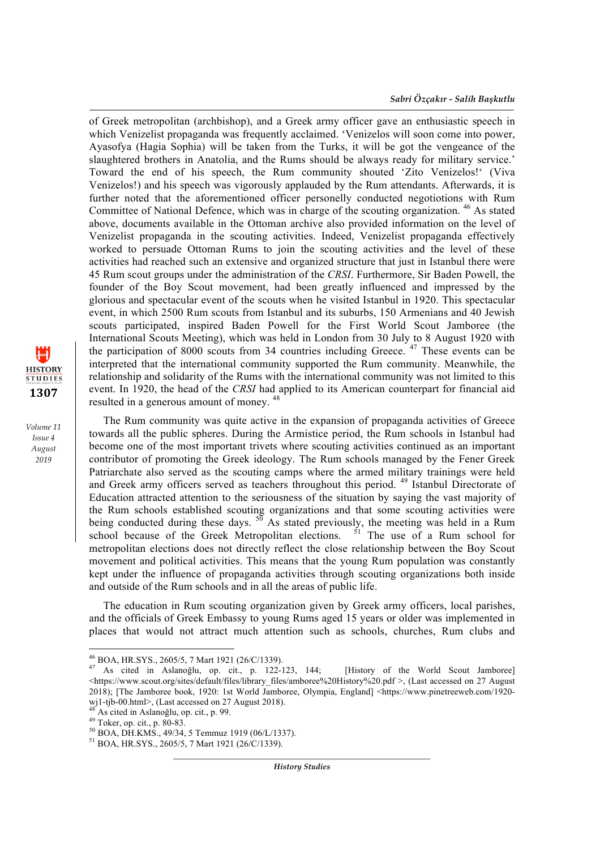of Greek metropolitan (archbishop), and a Greek army officer gave an enthusiastic speech in which Venizelist propaganda was frequently acclaimed. 'Venizelos will soon come into power, Ayasofya (Hagia Sophia) will be taken from the Turks, it will be got the vengeance of the slaughtered brothers in Anatolia, and the Rums should be always ready for military service.' Toward the end of his speech, the Rum community shouted 'Zito Venizelos!' (Viva Venizelos!) and his speech was vigorously applauded by the Rum attendants. Afterwards, it is further noted that the aforementioned officer personelly conducted negotiotions with Rum Committee of National Defence, which was in charge of the scouting organization. <sup>46</sup> As stated above, documents available in the Ottoman archive also provided information on the level of Venizelist propaganda in the scouting activities. Indeed, Venizelist propaganda effectively worked to persuade Ottoman Rums to join the scouting activities and the level of these activities had reached such an extensive and organized structure that just in Istanbul there were 45 Rum scout groups under the administration of the *CRSI*. Furthermore, Sir Baden Powell, the founder of the Boy Scout movement, had been greatly influenced and impressed by the glorious and spectacular event of the scouts when he visited Istanbul in 1920. This spectacular event, in which 2500 Rum scouts from Istanbul and its suburbs, 150 Armenians and 40 Jewish scouts participated, inspired Baden Powell for the First World Scout Jamboree (the International Scouts Meeting), which was held in London from 30 July to 8 August 1920 with the participation of 8000 scouts from 34 countries including Greece.  $47$  These events can be interpreted that the international community supported the Rum community. Meanwhile, the relationship and solidarity of the Rums with the international community was not limited to this event. In 1920, the head of the *CRSI* had applied to its American counterpart for financial aid resulted in a generous amount of money. <sup>48</sup>

The Rum community was quite active in the expansion of propaganda activities of Greece towards all the public spheres. During the Armistice period, the Rum schools in Istanbul had become one of the most important trivets where scouting activities continued as an important contributor of promoting the Greek ideology. The Rum schools managed by the Fener Greek Patriarchate also served as the scouting camps where the armed military trainings were held and Greek army officers served as teachers throughout this period.<sup>49</sup> Istanbul Directorate of Education attracted attention to the seriousness of the situation by saying the vast majority of the Rum schools established scouting organizations and that some scouting activities were being conducted during these days.  $5\overline{0}$  As stated previously, the meeting was held in a Rum school because of the Greek Metropolitan elections.  $51$  The use of a Rum school for school because of the Greek Metropolitan elections. metropolitan elections does not directly reflect the close relationship between the Boy Scout movement and political activities. This means that the young Rum population was constantly kept under the influence of propaganda activities through scouting organizations both inside and outside of the Rum schools and in all the areas of public life.

The education in Rum scouting organization given by Greek army officers, local parishes, and the officials of Greek Embassy to young Rums aged 15 years or older was implemented in places that would not attract much attention such as schools, churches, Rum clubs and

<u> 1989 - Johann Barn, mars ann an t-Amhain an t-Amhain an t-Amhain an t-Amhain an t-Amhain an t-Amhain an t-Amh</u>

*History Studies*



<sup>&</sup>lt;sup>46</sup> BOA, HR.SYS., 2605/5, 7 Mart 1921 (26/C/1339).<br><sup>47</sup> As cited in Aslanoğlu, op. cit., p. 122-123, 144; [History of the World Scout Jamboree] <https://www.scout.org/sites/default/files/library\_files/amboree%20History%20.pdf >, (Last accessed on 27 August 2018); [The Jamboree book, 1920: 1st World Jamboree, Olympia, England] <https://www.pinetreeweb.com/1920-

<sup>&</sup>lt;sup>48</sup> As cited in Aslanoğlu, op. cit., p. 99.<br><sup>49</sup> Toker, op. cit., p. 80-83.<br><sup>50</sup> BOA, DH.KMS., 49/34, 5 Temmuz 1919 (06/L/1337).<br><sup>51</sup> BOA, HR.SYS., 2605/5, 7 Mart 1921 (26/C/1339).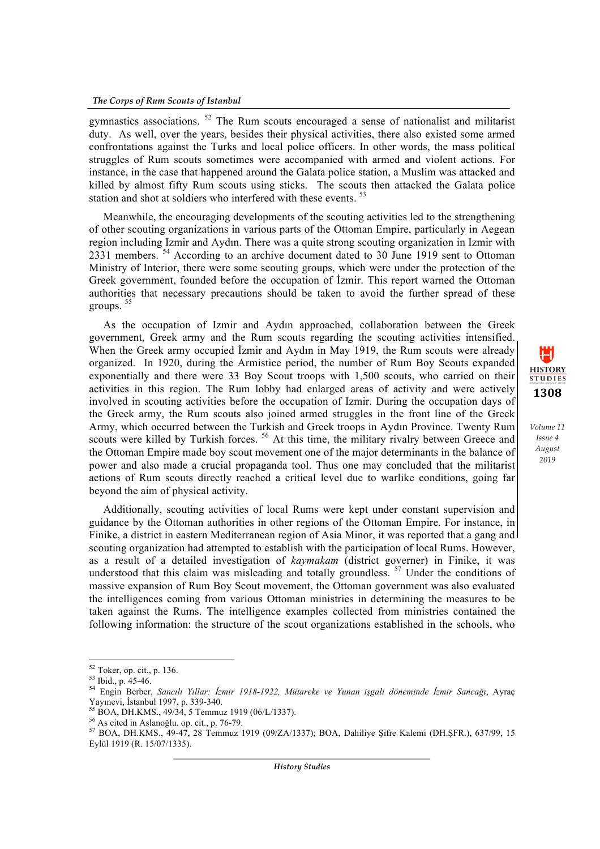gymnastics associations. <sup>52</sup> The Rum scouts encouraged a sense of nationalist and militarist duty. As well, over the years, besides their physical activities, there also existed some armed confrontations against the Turks and local police officers. In other words, the mass political struggles of Rum scouts sometimes were accompanied with armed and violent actions. For instance, in the case that happened around the Galata police station, a Muslim was attacked and killed by almost fifty Rum scouts using sticks. The scouts then attacked the Galata police station and shot at soldiers who interfered with these events.<sup>53</sup>

Meanwhile, the encouraging developments of the scouting activities led to the strengthening of other scouting organizations in various parts of the Ottoman Empire, particularly in Aegean region including Izmir and Aydın. There was a quite strong scouting organization in Izmir with 2331 members. <sup>54</sup> According to an archive document dated to 30 June 1919 sent to Ottoman Ministry of Interior, there were some scouting groups, which were under the protection of the Greek government, founded before the occupation of İzmir. This report warned the Ottoman authorities that necessary precautions should be taken to avoid the further spread of these groups. <sup>55</sup>

As the occupation of Izmir and Aydın approached, collaboration between the Greek government, Greek army and the Rum scouts regarding the scouting activities intensified. When the Greek army occupied İzmir and Aydın in May 1919, the Rum scouts were already organized. In 1920, during the Armistice period, the number of Rum Boy Scouts expanded exponentially and there were 33 Boy Scout troops with 1,500 scouts, who carried on their activities in this region. The Rum lobby had enlarged areas of activity and were actively involved in scouting activities before the occupation of Izmir. During the occupation days of the Greek army, the Rum scouts also joined armed struggles in the front line of the Greek Army, which occurred between the Turkish and Greek troops in Aydın Province. Twenty Rum scouts were killed by Turkish forces.<sup>56</sup> At this time, the military rivalry between Greece and the Ottoman Empire made boy scout movement one of the major determinants in the balance of power and also made a crucial propaganda tool. Thus one may concluded that the militarist actions of Rum scouts directly reached a critical level due to warlike conditions, going far beyond the aim of physical activity.

1 H **HISTORY STUDIES 1308**

*Volume 11 Issue 4 August 2019*

Additionally, scouting activities of local Rums were kept under constant supervision and guidance by the Ottoman authorities in other regions of the Ottoman Empire. For instance, in Finike, a district in eastern Mediterranean region of Asia Minor, it was reported that a gang and scouting organization had attempted to establish with the participation of local Rums. However, as a result of a detailed investigation of *kaymakam* (district governer) in Finike, it was understood that this claim was misleading and totally groundless.<sup>57</sup> Under the conditions of massive expansion of Rum Boy Scout movement, the Ottoman government was also evaluated the intelligences coming from various Ottoman ministries in determining the measures to be taken against the Rums. The intelligence examples collected from ministries contained the following information: the structure of the scout organizations established in the schools, who

<u> 1989 - Johann Barn, mars ann an t-Amhain an t-Amhain an t-Amhain an t-Amhain an t-Amhain an t-Amhain an t-Amh</u>

<sup>52</sup> Toker, op. cit., p. 136. <sup>53</sup> Ibid., p. 45-46. <sup>54</sup> Engin Berber, *Sancılı Yıllar: İzmir 1918-1922, Mütareke ve Yunan işgali döneminde İzmir Sancağı*, Ayraç

<sup>&</sup>lt;sup>55</sup> BOA, DH.KMS., 49/34, 5 Temmuz 1919 (06/L/1337).<br><sup>56</sup> As cited in Aslanoğlu, op. cit., p. 76-79.<br><sup>57</sup> BOA, DH.KMS., 49-47, 28 Temmuz 1919 (09/ZA/1337); BOA, Dahiliye Şifre Kalemi (DH.ŞFR.), 637/99, 15 Eylül 1919 (R. 15/07/1335).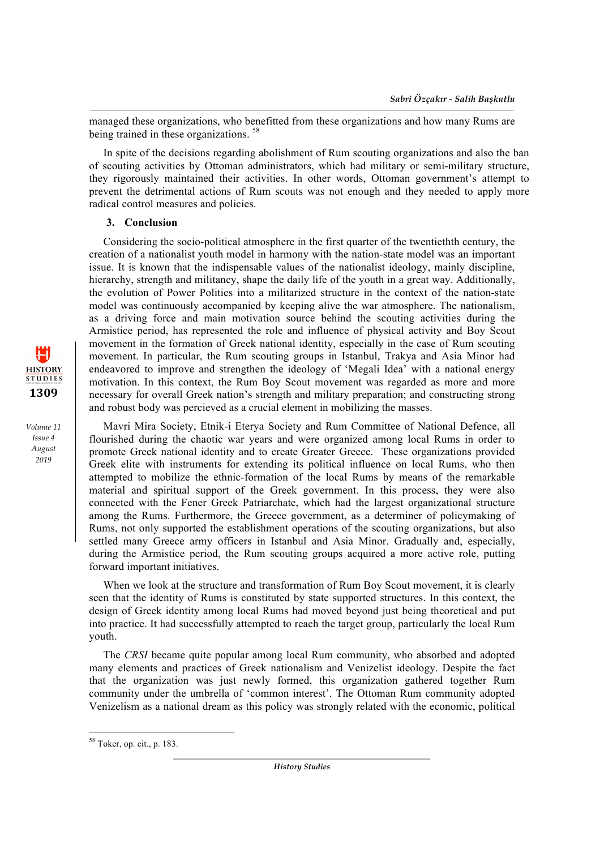managed these organizations, who benefitted from these organizations and how many Rums are being trained in these organizations.<sup>58</sup>

In spite of the decisions regarding abolishment of Rum scouting organizations and also the ban of scouting activities by Ottoman administrators, which had military or semi-military structure, they rigorously maintained their activities. In other words, Ottoman government's attempt to prevent the detrimental actions of Rum scouts was not enough and they needed to apply more radical control measures and policies.

## **3. Conclusion**

Considering the socio-political atmosphere in the first quarter of the twentiethth century, the creation of a nationalist youth model in harmony with the nation-state model was an important issue. It is known that the indispensable values of the nationalist ideology, mainly discipline, hierarchy, strength and militancy, shape the daily life of the youth in a great way. Additionally, the evolution of Power Politics into a militarized structure in the context of the nation-state model was continuously accompanied by keeping alive the war atmosphere. The nationalism, as a driving force and main motivation source behind the scouting activities during the Armistice period, has represented the role and influence of physical activity and Boy Scout movement in the formation of Greek national identity, especially in the case of Rum scouting movement. In particular, the Rum scouting groups in Istanbul, Trakya and Asia Minor had endeavored to improve and strengthen the ideology of 'Megali Idea' with a national energy motivation. In this context, the Rum Boy Scout movement was regarded as more and more necessary for overall Greek nation's strength and military preparation; and constructing strong and robust body was percieved as a crucial element in mobilizing the masses.

Mavri Mira Society, Etnik-i Eterya Society and Rum Committee of National Defence, all flourished during the chaotic war years and were organized among local Rums in order to promote Greek national identity and to create Greater Greece. These organizations provided Greek elite with instruments for extending its political influence on local Rums, who then attempted to mobilize the ethnic-formation of the local Rums by means of the remarkable material and spiritual support of the Greek government. In this process, they were also connected with the Fener Greek Patriarchate, which had the largest organizational structure among the Rums. Furthermore, the Greece government, as a determiner of policymaking of Rums, not only supported the establishment operations of the scouting organizations, but also settled many Greece army officers in Istanbul and Asia Minor. Gradually and, especially, during the Armistice period, the Rum scouting groups acquired a more active role, putting forward important initiatives.

When we look at the structure and transformation of Rum Boy Scout movement, it is clearly seen that the identity of Rums is constituted by state supported structures. In this context, the design of Greek identity among local Rums had moved beyond just being theoretical and put into practice. It had successfully attempted to reach the target group, particularly the local Rum youth.

The *CRSI* became quite popular among local Rum community, who absorbed and adopted many elements and practices of Greek nationalism and Venizelist ideology. Despite the fact that the organization was just newly formed, this organization gathered together Rum community under the umbrella of 'common interest'. The Ottoman Rum community adopted Venizelism as a national dream as this policy was strongly related with the economic, political

<u> 1989 - Johann Barn, mars ann an t-Amhain an t-Amhain an t-Amhain an t-Amhain an t-Amhain an t-Amhain an t-Amh</u>



<sup>58</sup> Toker, op. cit., p. 183.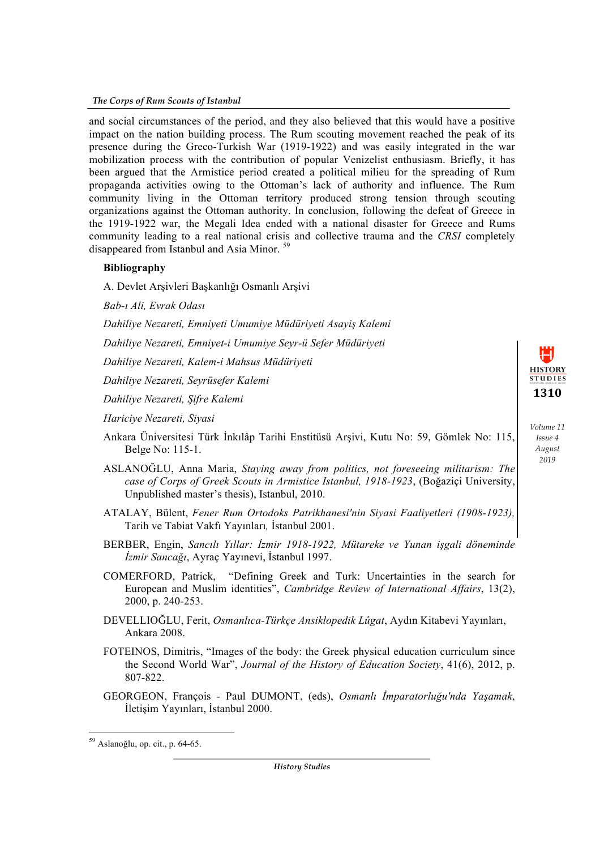#### *The Corps of Rum Scouts of Istanbul*

and social circumstances of the period, and they also believed that this would have a positive impact on the nation building process. The Rum scouting movement reached the peak of its presence during the Greco-Turkish War (1919-1922) and was easily integrated in the war mobilization process with the contribution of popular Venizelist enthusiasm. Briefly, it has been argued that the Armistice period created a political milieu for the spreading of Rum propaganda activities owing to the Ottoman's lack of authority and influence. The Rum community living in the Ottoman territory produced strong tension through scouting organizations against the Ottoman authority. In conclusion, following the defeat of Greece in the 1919-1922 war, the Megali Idea ended with a national disaster for Greece and Rums community leading to a real national crisis and collective trauma and the *CRSI* completely disappeared from Istanbul and Asia Minor. <sup>59</sup>

## **Bibliography**

A. Devlet Arşivleri Başkanlığı Osmanlı Arşivi

*Bab-ı Ali, Evrak Odası* 

*Dahiliye Nezareti, Emniyeti Umumiye Müdüriyeti Asayiş Kalemi* 

*Dahiliye Nezareti, Emniyet-i Umumiye Seyr-ü Sefer Müdüriyeti* 

*Dahiliye Nezareti, Kalem-i Mahsus Müdüriyeti* 

*Dahiliye Nezareti, Seyrüsefer Kalemi* 

*Dahiliye Nezareti, Şifre Kalemi* 

*Hariciye Nezareti, Siyasi* 

- Ankara Üniversitesi Türk İnkılâp Tarihi Enstitüsü Arşivi, Kutu No: 59, Gömlek No: 115, Belge No: 115-1.
- ASLANOĞLU, Anna Maria, *Staying away from politics, not foreseeing militarism: The case of Corps of Greek Scouts in Armistice Istanbul, 1918-1923*, (Boğaziçi University, Unpublished master's thesis), Istanbul, 2010.
- ATALAY, Bülent, *Fener Rum Ortodoks Patrikhanesi'nin Siyasi Faaliyetleri (1908-1923),*  Tarih ve Tabiat Vakfı Yayınları*,* İstanbul 2001.
- BERBER, Engin, *Sancılı Yıllar: İzmir 1918-1922, Mütareke ve Yunan işgali döneminde İzmir Sancağı*, Ayraç Yayınevi, İstanbul 1997.
- COMERFORD, Patrick, "Defining Greek and Turk: Uncertainties in the search for European and Muslim identities", *Cambridge Review of International Affairs*, 13(2), 2000, p. 240-253.
- DEVELLIOĞLU, Ferit, *Osmanlıca-Türkçe Ansiklopedik Lûgat*, Aydın Kitabevi Yayınları, Ankara 2008.
- FOTEINOS, Dimitris, "Images of the body: the Greek physical education curriculum since the Second World War", *Journal of the History of Education Society*, 41(6), 2012, p. 807-822.
- GEORGEON, François Paul DUMONT, (eds), *Osmanlı İmparatorluğu'nda Yaşamak*, İletişim Yayınları, İstanbul 2000.

<u> 1989 - Johann Barn, mars ann an t-Amhain an t-Amhain an t-Amhain an t-Amhain an t-Amhain an t-Amhain an t-Amh</u>

*History Studies*

**HISTORY STUDIES 1310**

<sup>59</sup> Aslanoğlu, op. cit., p. 64-65.